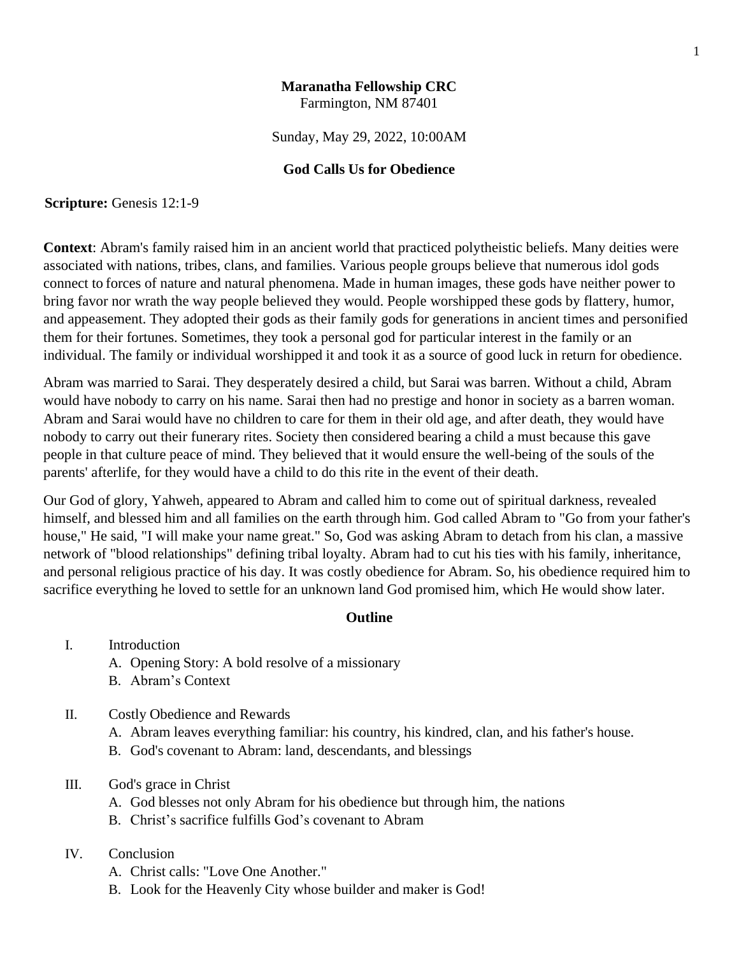# **Maranatha Fellowship CRC** Farmington, NM 87401

Sunday, May 29, 2022, 10:00AM

# **God Calls Us for Obedience**

**Scripture:** Genesis 12:1-9

**Context**: Abram's family raised him in an ancient world that practiced polytheistic beliefs. Many deities were associated with nations, tribes, clans, and families. Various people groups believe that numerous idol gods connect to forces of nature and natural phenomena. Made in human images, these gods have neither power to bring favor nor wrath the way people believed they would. People worshipped these gods by flattery, humor, and appeasement. They adopted their gods as their family gods for generations in ancient times and personified them for their fortunes. Sometimes, they took a personal god for particular interest in the family or an individual. The family or individual worshipped it and took it as a source of good luck in return for obedience.

Abram was married to Sarai. They desperately desired a child, but Sarai was barren. Without a child, Abram would have nobody to carry on his name. Sarai then had no prestige and honor in society as a barren woman. Abram and Sarai would have no children to care for them in their old age, and after death, they would have nobody to carry out their funerary rites. Society then considered bearing a child a must because this gave people in that culture peace of mind. They believed that it would ensure the well-being of the souls of the parents' afterlife, for they would have a child to do this rite in the event of their death.

Our God of glory, Yahweh, appeared to Abram and called him to come out of spiritual darkness, revealed himself, and blessed him and all families on the earth through him. God called Abram to "Go from your father's house," He said, "I will make your name great." So, God was asking Abram to detach from his clan, a massive network of "blood relationships" defining tribal loyalty. Abram had to cut his ties with his family, inheritance, and personal religious practice of his day. It was costly obedience for Abram. So, his obedience required him to sacrifice everything he loved to settle for an unknown land God promised him, which He would show later.

## **Outline**

- I. Introduction
	- A. Opening Story: A bold resolve of a missionary
	- B. Abram's Context
- II. Costly Obedience and Rewards
	- A. Abram leaves everything familiar: his country, his kindred, clan, and his father's house.
	- B. God's covenant to Abram: land, descendants, and blessings
- III. God's grace in Christ
	- A. God blesses not only Abram for his obedience but through him, the nations
	- B. Christ's sacrifice fulfills God's covenant to Abram

## IV. Conclusion

- A. Christ calls: "Love One Another."
- B. Look for the Heavenly City whose builder and maker is God!